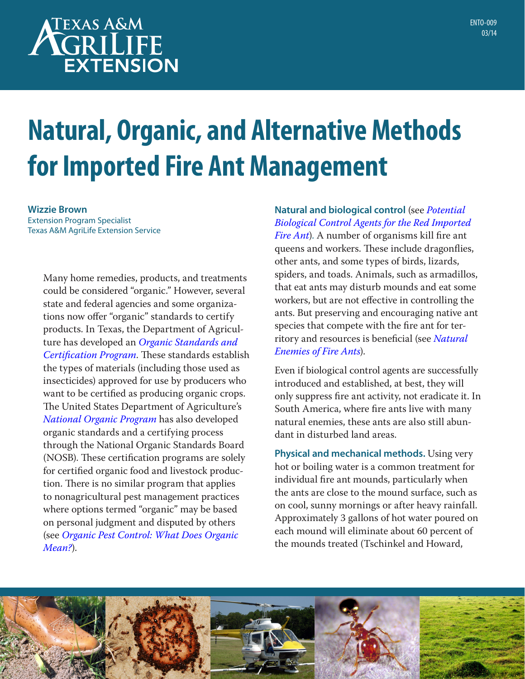# **TEXAS A&M GRILIFE EXTENSION**

# **Natural, Organic, and Alternative Methods for Imported Fire Ant Management**

**Wizzie Brown** Extension Program Specialist Texas A&M AgriLife Extension Service

> Many home remedies, products, and treatments could be considered "organic." However, several state and federal agencies and some organizations now offer "organic" standards to certify products. In Texas, the Department of Agriculture has developed an *[Organic Standards and](http://agr.state.tx.us)  [Certification Program](http://agr.state.tx.us)*. These standards establish the types of materials (including those used as insecticides) approved for use by producers who want to be certified as producing organic crops. The United States Department of Agriculture's *National [Organic Program](http://www.ams.usda.gov/nop)* has also developed organic standards and a certifying process through the National Organic Standards Board (NOSB). These certification programs are solely for certified organic food and livestock production. There is no similar program that applies to nonagricultural pest management practices where options termed "organic" may be based on personal judgment and disputed by others (see *[Organic Pest Control: What Does Organic](http://landscapeipm.tamu.edu/types-of-pest-control/chemical-control/organic/)  [Mean?](http://landscapeipm.tamu.edu/types-of-pest-control/chemical-control/organic/)*).

**Natural and biological control** (see *[Potential](http://u.tamu.edu/ento-008)  [Biological Control Agents for the Red Imported](http://u.tamu.edu/ento-008)  [Fire Ant](http://u.tamu.edu/ento-008)*). A number of organisms kill fire ant queens and workers. These include dragonflies, other ants, and some types of birds, lizards, spiders, and toads. Animals, such as armadillos, that eat ants may disturb mounds and eat some workers, but are not effective in controlling the ants. But preserving and encouraging native ant species that compete with the fire ant for territory and resources is beneficial (see *[Natural](http://www.extension.org/pages/30546/natural-enemies-of-fire-ants)  [Enemies of Fire Ants](http://www.extension.org/pages/30546/natural-enemies-of-fire-ants)*).

Even if biological control agents are successfully introduced and established, at best, they will only suppress fire ant activity, not eradicate it. In South America, where fire ants live with many natural enemies, these ants are also still abundant in disturbed land areas.

**Physical and mechanical methods.** Using very hot or boiling water is a common treatment for individual fire ant mounds, particularly when the ants are close to the mound surface, such as on cool, sunny mornings or after heavy rainfall. Approximately 3 gallons of hot water poured on each mound will eliminate about 60 percent of the mounds treated (Tschinkel and Howard,

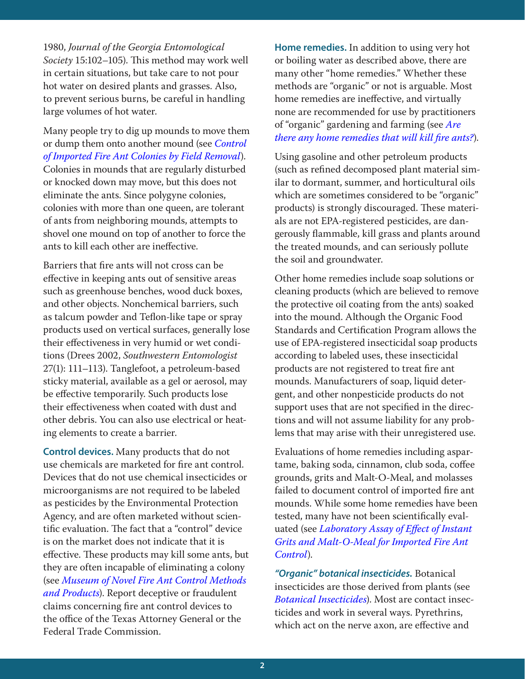1980, *Journal of the Georgia Entomological Society* 15:102–105). This method may work well in certain situations, but take care to not pour hot water on desired plants and grasses. Also, to prevent serious burns, be careful in handling large volumes of hot water.

Many people try to dig up mounds to move them or dump them onto another mound (see *[Control](http://bug.tamu.edu/fireant/research/projects/pdf/1997-200resdemo.pdf)  [of Imported Fire Ant Colonies by Field Removal](http://bug.tamu.edu/fireant/research/projects/pdf/1997-200resdemo.pdf)*). Colonies in mounds that are regularly disturbed or knocked down may move, but this does not eliminate the ants. Since polygyne colonies, colonies with more than one queen, are tolerant of ants from neighboring mounds, attempts to shovel one mound on top of another to force the ants to kill each other are ineffective.

Barriers that fire ants will not cross can be effective in keeping ants out of sensitive areas such as greenhouse benches, wood duck boxes, and other objects. Nonchemical barriers, such as talcum powder and Teflon-like tape or spray products used on vertical surfaces, generally lose their effectiveness in very humid or wet conditions (Drees 2002, *Southwestern Entomologist* 27(1): 111–113). Tanglefoot, a petroleum-based sticky material, available as a gel or aerosol, may be effective temporarily. Such products lose their effectiveness when coated with dust and other debris. You can also use electrical or heating elements to create a barrier.

**Control devices.** Many products that do not use chemicals are marketed for fire ant control. Devices that do not use chemical insecticides or microorganisms are not required to be labeled as pesticides by the Environmental Protection Agency, and are often marketed without scientific evaluation. The fact that a "control" device is on the market does not indicate that it is effective. These products may kill some ants, but they are often incapable of eliminating a colony (see *[Museum of Novel Fire Ant Control Methods](http://www.extension.org/pages/21854/museum-of-novel-fire-ant-control-methods-and-products)  [and Products](http://www.extension.org/pages/21854/museum-of-novel-fire-ant-control-methods-and-products)*). Report deceptive or fraudulent claims concerning fire ant control devices to the office of the Texas Attorney General or the Federal Trade Commission.

**Home remedies.** In addition to using very hot or boiling water as described above, there are many other "home remedies." Whether these methods are "organic" or not is arguable. Most home remedies are ineffective, and virtually none are recommended for use by practitioners of "organic" gardening and farming (see *[Are](http://www.extension.org/pages/34814/are-there-any-home-remedies-that-will-kill-fire-ants)  [there any home remedies that will kill fire ants?](http://www.extension.org/pages/34814/are-there-any-home-remedies-that-will-kill-fire-ants)*).

Using gasoline and other petroleum products (such as refined decomposed plant material similar to dormant, summer, and horticultural oils which are sometimes considered to be "organic" products) is strongly discouraged. These materials are not EPA-registered pesticides, are dangerously flammable, kill grass and plants around the treated mounds, and can seriously pollute the soil and groundwater.

Other home remedies include soap solutions or cleaning products (which are believed to remove the protective oil coating from the ants) soaked into the mound. Although the Organic Food Standards and Certification Program allows the use of EPA-registered insecticidal soap products according to labeled uses, these insecticidal products are not registered to treat fire ant mounds. Manufacturers of soap, liquid detergent, and other nonpesticide products do not support uses that are not specified in the directions and will not assume liability for any problems that may arise with their unregistered use.

Evaluations of home remedies including aspartame, baking soda, cinnamon, club soda, coffee grounds, grits and Malt-O-Meal, and molasses failed to document control of imported fire ant mounds. While some home remedies have been tested, many have not been scientifically evaluated (see *[Laboratory Assay of Effect of Instant](http://bug.tamu.edu/fireant/research/projects/pdf/1997-200resdemo.pdf)  [Grits and Malt-O-Meal for Imported Fire Ant](http://bug.tamu.edu/fireant/research/projects/pdf/1997-200resdemo.pdf)  [Control](http://bug.tamu.edu/fireant/research/projects/pdf/1997-200resdemo.pdf)*).

*"Organic" botanical insecticides.* Botanical insecticides are those derived from plants (see *[Botanical Insecticides](http://landscapeipm.tamu.edu/what-is-ipm/types-of-pest-control/chemical-control/organic/botanical/)*). Most are contact insecticides and work in several ways. Pyrethrins, which act on the nerve axon, are effective and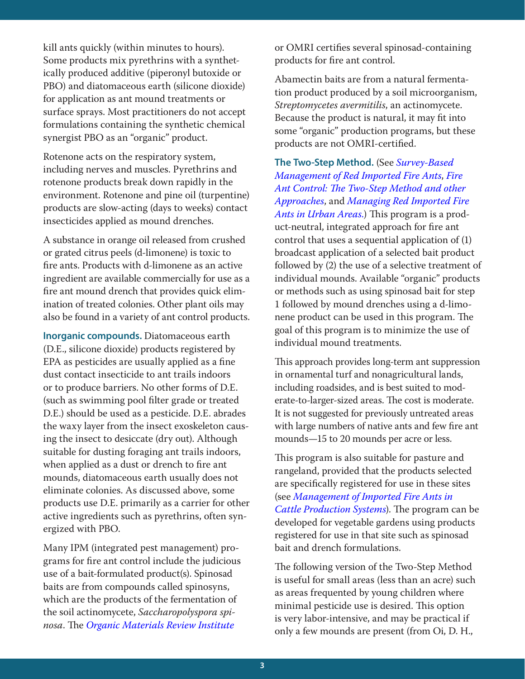kill ants quickly (within minutes to hours). Some products mix pyrethrins with a synthetically produced additive (piperonyl butoxide or PBO) and diatomaceous earth (silicone dioxide) for application as ant mound treatments or surface sprays. Most practitioners do not accept formulations containing the synthetic chemical synergist PBO as an "organic" product.

Rotenone acts on the respiratory system, including nerves and muscles. Pyrethrins and rotenone products break down rapidly in the environment. Rotenone and pine oil (turpentine) products are slow-acting (days to weeks) contact insecticides applied as mound drenches.

A substance in orange oil released from crushed or grated citrus peels (d-limonene) is toxic to fire ants. Products with d-limonene as an active ingredient are available commercially for use as a fire ant mound drench that provides quick elimination of treated colonies. Other plant oils may also be found in a variety of ant control products.

**Inorganic compounds.** Diatomaceous earth (D.E., silicone dioxide) products registered by EPA as pesticides are usually applied as a fine dust contact insecticide to ant trails indoors or to produce barriers. No other forms of D.E. (such as swimming pool filter grade or treated D.E.) should be used as a pesticide. D.E. abrades the waxy layer from the insect exoskeleton causing the insect to desiccate (dry out). Although suitable for dusting foraging ant trails indoors, when applied as a dust or drench to fire ant mounds, diatomaceous earth usually does not eliminate colonies. As discussed above, some products use D.E. primarily as a carrier for other active ingredients such as pyrethrins, often synergized with PBO.

Many IPM (integrated pest management) programs for fire ant control include the judicious use of a bait-formulated product(s). Spinosad baits are from compounds called spinosyns, which are the products of the fermentation of the soil actinomycete, *Saccharopolyspora spinosa*. The *[Organic Materials Review Institute](http://www.omri.org/omri-lists)*

or OMRI certifies several spinosad-containing products for fire ant control.

Abamectin baits are from a natural fermentation product produced by a soil microorganism, *Streptomycetes avermitilis*, an actinomycete. Because the product is natural, it may fit into some "organic" production programs, but these products are not OMRI-certified.

**The Two-Step Method.** (See *[Survey-Based](http://u.tamu.edu/ento-007)  [Management of Red Imported Fire Ants](http://u.tamu.edu/ento-007)*, *[Fire](http://www.agrilifebookstore.org/product-p/ento-034.htm)  [Ant Control: The Two-Step Method and other](http://www.agrilifebookstore.org/product-p/ento-034.htm)  [Approaches](http://www.agrilifebookstore.org/product-p/ento-034.htm)*, and *[Managing Red Imported Fire](http://www.extension.org/pages/11004/managing-imported-fire-ants-in-urban-areas-printable-version)  [Ants in Urban Areas](http://www.extension.org/pages/11004/managing-imported-fire-ants-in-urban-areas-printable-version).*) This program is a product-neutral, integrated approach for fire ant control that uses a sequential application of (1) broadcast application of a selected bait product followed by (2) the use of a selective treatment of individual mounds. Available "organic" products or methods such as using spinosad bait for step 1 followed by mound drenches using a d-limonene product can be used in this program. The goal of this program is to minimize the use of individual mound treatments.

This approach provides long-term ant suppression in ornamental turf and nonagricultural lands, including roadsides, and is best suited to moderate-to-larger-sized areas. The cost is moderate. It is not suggested for previously untreated areas with large numbers of native ants and few fire ant mounds—15 to 20 mounds per acre or less.

This program is also suitable for pasture and rangeland, provided that the products selected are specifically registered for use in these sites (see *[Management of Imported Fire Ants in](http://www.agrilifebookstore.org/product-p/sp-196.htm)  [Cattle Production Systems](http://www.agrilifebookstore.org/product-p/sp-196.htm)*). The program can be developed for vegetable gardens using products registered for use in that site such as spinosad bait and drench formulations.

The following version of the Two-Step Method is useful for small areas (less than an acre) such as areas frequented by young children where minimal pesticide use is desired. This option is very labor-intensive, and may be practical if only a few mounds are present (from Oi, D. H.,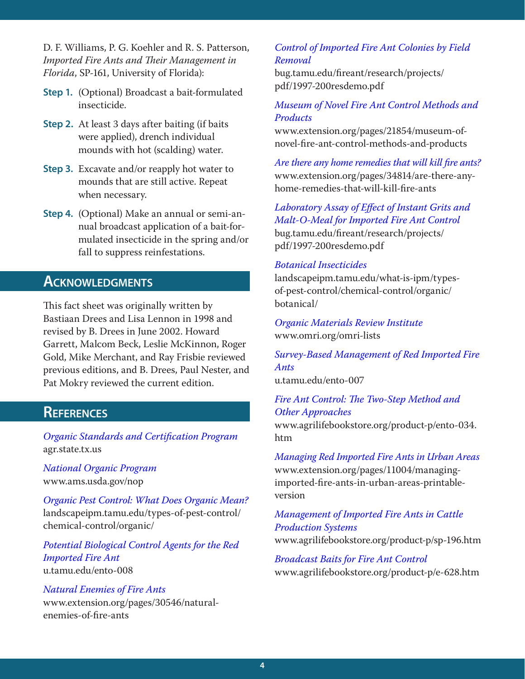D. F. Williams, P. G. Koehler and R. S. Patterson, *Imported Fire Ants and Their Management in Florida*, SP-161, University of Florida):

- **Step 1.** (Optional) Broadcast a bait-formulated insecticide.
- **Step 2.** At least 3 days after baiting (if baits were applied), drench individual mounds with hot (scalding) water.
- **Step 3.** Excavate and/or reapply hot water to mounds that are still active. Repeat when necessary.
- **Step 4.** (Optional) Make an annual or semi-annual broadcast application of a bait-formulated insecticide in the spring and/or fall to suppress reinfestations.

# **Acknowledgments**

This fact sheet was originally written by Bastiaan Drees and Lisa Lennon in 1998 and revised by B. Drees in June 2002. Howard Garrett, Malcom Beck, Leslie McKinnon, Roger Gold, Mike Merchant, and Ray Frisbie reviewed previous editions, and B. Drees, Paul Nester, and Pat Mokry reviewed the current edition.

## **References**

*[Organic Standards and Certification Program](http://agr.state.tx.us)* agr.state.tx.us

*National [Organic Program](http://www.ams.usda.gov/nop)* www.ams.usda.gov/nop

*[Organic Pest Control: What Does Organic Mean?](http://landscapeipm.tamu.edu/types-of-pest-control/chemical-control/organic/)* landscapeipm.tamu.edu/types-of-pest-control/ chemical-control/organic/

*[Potential Biological Control Agents for the Red](http://u.tamu.edu/ento-008)  [Imported Fire Ant](http://u.tamu.edu/ento-008)* u.tamu.edu/ento-008

#### *[Natural Enemies of Fire Ants](http://www.extension.org/pages/30546/natural-enemies-of-fire-ants)* www.extension.org/pages/30546/naturalenemies-of-fire-ants

#### *[Control of Imported Fire Ant Colonies by Field](http://bug.tamu.edu/fireant/research/projects/pdf/1997-200resdemo.pdf)  [Removal](http://bug.tamu.edu/fireant/research/projects/pdf/1997-200resdemo.pdf)*

bug.tamu.edu/fireant/research/projects/ pdf/1997-200resdemo.pdf

#### *[Museum of Novel Fire Ant Control Methods and](http://www.extension.org/pages/21854/museum-of-novel-fire-ant-control-methods-and-products)  [Products](http://www.extension.org/pages/21854/museum-of-novel-fire-ant-control-methods-and-products)*

www.extension.org/pages/21854/museum-ofnovel-fire-ant-control-methods-and-products

*[Are there any home remedies that will kill fire ants?](http://www.extension.org/pages/34814/are-there-any-home-remedies-that-will-kill-fire-ants)* www.extension.org/pages/34814/are-there-anyhome-remedies-that-will-kill-fire-ants

*[Laboratory Assay of Effect of Instant Grits and](http://bug.tamu.edu/fireant/research/projects/pdf/1997-200resdemo.pdf)  [Malt-O-Meal for Imported Fire Ant Control](http://bug.tamu.edu/fireant/research/projects/pdf/1997-200resdemo.pdf)* bug.tamu.edu/fireant/research/projects/ pdf/1997-200resdemo.pdf

#### *[Botanical Insecticides](http://landscapeipm.tamu.edu/what-is-ipm/types-of-pest-control/chemical-control/organic/botanical/)*

landscapeipm.tamu.edu/what-is-ipm/typesof-pest-control/chemical-control/organic/ botanical/

*[Organic Materials Review Institute](http://www.omri.org/omri-lists)* www.omri.org/omri-lists

### *[Survey-Based Management of Red Imported Fire](http://u.tamu.edu/ento-007)  [Ants](http://u.tamu.edu/ento-007)*

u.tamu.edu/ento-007

#### *[Fire Ant Control: The Two-Step Method and](http://www.agrilifebookstore.org/product-p/ento-034.htm)  [Other Approaches](http://www.agrilifebookstore.org/product-p/ento-034.htm)*

www.agrilifebookstore.org/product-p/ento-034. htm

*[Managing Red Imported Fire Ants in Urban Areas](http://www.extension.org/pages/11004/managing-imported-fire-ants-in-urban-areas-printable-version)* www.extension.org/pages/11004/managingimported-fire-ants-in-urban-areas-printableversion

# *[Management of Imported Fire Ants in Cattle](http://www.agrilifebookstore.org/product-p/sp-196.htm)  [Production Systems](http://www.agrilifebookstore.org/product-p/sp-196.htm)*

www.agrilifebookstore.org/product-p/sp-196.htm

*[Broadcast Baits for Fire Ant Control](http://www.agrilifebookstore.org/product-p/sp-196.htm)* www.agrilifebookstore.org/product-p/e-628.htm